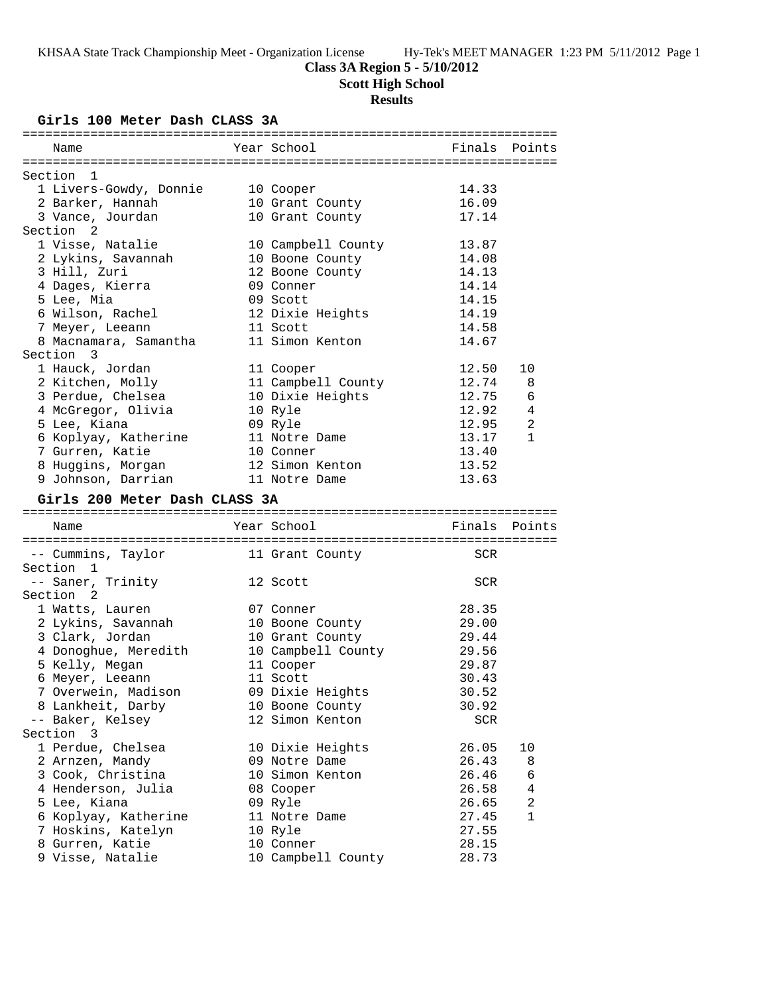# **Class 3A Region 5 - 5/10/2012**

**Scott High School**

# **Results**

**Girls 100 Meter Dash CLASS 3A**

| Name                                | Year School                     | Finals         | Points       |
|-------------------------------------|---------------------------------|----------------|--------------|
|                                     |                                 |                |              |
| Section 1                           |                                 |                |              |
| 1 Livers-Gowdy, Donnie              | 10 Cooper                       | 14.33          |              |
| 2 Barker, Hannah                    | 10 Grant County                 | 16.09          |              |
| 3 Vance, Jourdan                    | 10 Grant County                 | 17.14          |              |
| Section <sub>2</sub>                |                                 |                |              |
| 1 Visse, Natalie                    | 10 Campbell County              | 13.87          |              |
| 2 Lykins, Savannah                  | 10 Boone County                 | 14.08          |              |
| 3 Hill, Zuri                        | 12 Boone County                 | 14.13          |              |
| 4 Dages, Kierra                     | 09 Conner                       | 14.14          |              |
|                                     | 09 Scott                        | 14.15          |              |
| 5 Lee, Mia                          |                                 | 14.19          |              |
| 6 Wilson, Rachel                    | 12 Dixie Heights                |                |              |
| 7 Meyer, Leeann                     | 11 Scott                        | 14.58          |              |
| 8 Macnamara, Samantha               | 11 Simon Kenton                 | 14.67          |              |
| Section 3                           |                                 |                |              |
| 1 Hauck, Jordan                     | 11 Cooper                       | 12.50          | 10           |
| 2 Kitchen, Molly                    | 11 Campbell County              | 12.74          | 8            |
| 3 Perdue, Chelsea                   | 10 Dixie Heights                | 12.75          | 6            |
| 4 McGregor, Olivia                  | 10 Ryle                         | 12.92          | 4            |
| 5 Lee, Kiana                        | 09 Ryle                         | 12.95          | 2            |
| 6 Koplyay, Katherine                | 11 Notre Dame                   | 13.17          | $\mathbf{1}$ |
| 7 Gurren, Katie                     | 10 Conner                       | 13.40          |              |
| 8 Huggins, Morgan                   | 12 Simon Kenton                 | 13.52          |              |
| 9 Johnson, Darrian                  | 11 Notre Dame                   | 13.63          |              |
|                                     |                                 |                |              |
|                                     |                                 |                |              |
| Girls 200 Meter Dash CLASS 3A       |                                 |                |              |
|                                     |                                 |                |              |
| Name                                | Year School                     | Finals Points  |              |
|                                     |                                 |                |              |
| -- Cummins, Taylor 11 Grant County  |                                 | SCR            |              |
| Section 1                           |                                 |                |              |
| -- Saner, Trinity                   | 12 Scott                        | SCR            |              |
| Section 2                           |                                 |                |              |
| 1 Watts, Lauren                     | 07 Conner                       | 28.35          |              |
| 2 Lykins, Savannah                  | 10 Boone County                 | 29.00          |              |
| 3 Clark, Jordan                     | 10 Grant County                 | 29.44          |              |
| 4 Donoghue, Meredith                | 10 Campbell County              | 29.56          |              |
| 5 Kelly, Megan                      | 11 Cooper                       | 29.87          |              |
| 6 Meyer, Leeann                     | 11 Scott                        | 30.43          |              |
|                                     |                                 | 30.52          |              |
| 7 Overwein, Madison                 | 09 Dixie Heights                | 30.92          |              |
| 8 Lankheit, Darby                   | 10 Boone County                 | SCR            |              |
| -- Baker, Kelsey                    | 12 Simon Kenton                 |                |              |
| Section 3                           |                                 |                | 10           |
| 1 Perdue, Chelsea                   | 10 Dixie Heights                | 26.05          |              |
| 2 Arnzen, Mandy                     | 09 Notre Dame                   | 26.43          | 8            |
| 3 Cook, Christina                   | 10 Simon Kenton                 | 26.46          | 6            |
| 4 Henderson, Julia                  | 08 Cooper                       | 26.58          | 4            |
| 5 Lee, Kiana                        | 09 Ryle                         | 26.65          | 2            |
| 6 Koplyay, Katherine                | 11 Notre Dame                   | 27.45          | 1            |
| 7 Hoskins, Katelyn                  | 10 Ryle                         | 27.55          |              |
| 8 Gurren, Katie<br>9 Visse, Natalie | 10 Conner<br>10 Campbell County | 28.15<br>28.73 |              |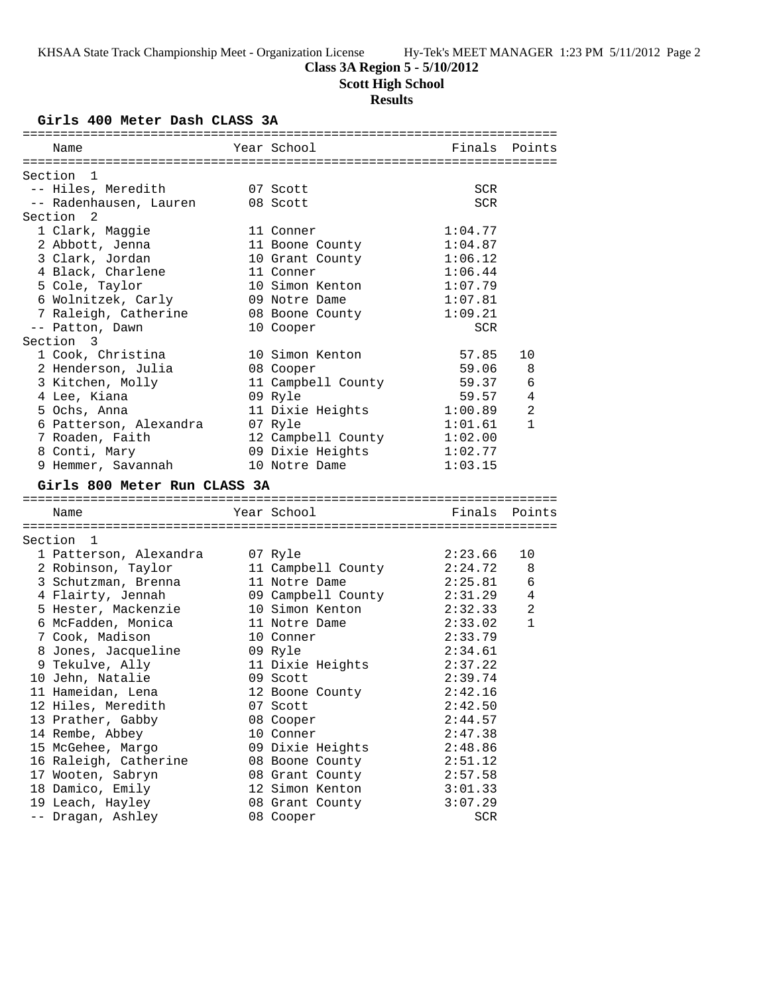# **Class 3A Region 5 - 5/10/2012**

**Scott High School**

# **Results**

**Girls 400 Meter Dash CLASS 3A**

| Name                                  | Year School                  | Finals         | Points        |
|---------------------------------------|------------------------------|----------------|---------------|
|                                       |                              |                |               |
| Section 1                             |                              |                |               |
| -- Hiles, Meredith                    | 07 Scott                     | SCR            |               |
| -- Radenhausen, Lauren                | 08 Scott                     | <b>SCR</b>     |               |
| Section <sub>2</sub>                  |                              |                |               |
| 1 Clark, Maggie                       | 11 Conner                    | 1:04.77        |               |
| 2 Abbott, Jenna                       | 11 Boone County              | 1:04.87        |               |
| 3 Clark, Jordan                       | 10 Grant County              | 1:06.12        |               |
| 4 Black, Charlene                     | 11 Conner                    | 1:06.44        |               |
| 5 Cole, Taylor                        | 10 Simon Kenton              | 1:07.79        |               |
| 6 Wolnitzek, Carly                    | 09 Notre Dame                | 1:07.81        |               |
| 7 Raleigh, Catherine                  | 08 Boone County              | 1:09.21        |               |
| -- Patton, Dawn                       | 10 Cooper                    | SCR            |               |
| Section 3                             |                              |                |               |
| 1 Cook, Christina                     | 10 Simon Kenton              | 57.85          | 10            |
| 2 Henderson, Julia                    | 08 Cooper                    | 59.06          | 8             |
| 3 Kitchen, Molly                      | 11 Campbell County           | 59.37          | 6             |
| 4 Lee, Kiana                          | 09 Ryle                      | 59.57          | 4             |
| 5 Ochs, Anna                          | 11 Dixie Heights             | 1:00.89        | 2             |
| 6 Patterson, Alexandra                | 07 Ryle                      | 1:01.61        | $\mathbf{1}$  |
| 7 Roaden, Faith                       | 12 Campbell County           | 1:02.00        |               |
| 8 Conti, Mary                         | 09 Dixie Heights             | 1:02.77        |               |
| 9 Hemmer, Savannah                    | 10 Notre Dame                | 1:03.15        |               |
|                                       |                              |                |               |
|                                       |                              |                |               |
| Girls 800 Meter Run CLASS 3A          |                              |                |               |
|                                       |                              |                | Finals Points |
| Name                                  | Year School                  |                |               |
| Section 1                             |                              |                |               |
|                                       |                              |                | 10            |
| 1 Patterson, Alexandra                | 07 Ryle                      | 2:23.66        |               |
| 2 Robinson, Taylor                    | 11 Campbell County           | 2:24.72        | 8             |
| 3 Schutzman, Brenna                   | 11 Notre Dame                | 2:25.81        | 6             |
| 4 Flairty, Jennah                     | 09 Campbell County           | 2:31.29        | 4             |
| 5 Hester, Mackenzie                   | 10 Simon Kenton              | 2:32.33        | 2             |
| 6 McFadden, Monica                    | 11 Notre Dame                | 2:33.02        | $\mathbf{1}$  |
| 7 Cook, Madison                       | 10 Conner                    | 2:33.79        |               |
| 8 Jones, Jacqueline                   | 09 Ryle                      | 2:34.61        |               |
| 9 Tekulve, Ally                       | 11 Dixie Heights             | 2:37.22        |               |
| 10 Jehn, Natalie                      | 09 Scott                     | 2:39.74        |               |
| 11 Hameidan, Lena                     | 12 Boone County              | 2:42.16        |               |
| 12 Hiles, Meredith                    | 07 Scott                     | 2:42.50        |               |
| 13 Prather, Gabby                     | 08 Cooper                    | 2:44.57        |               |
| 14 Rembe, Abbey                       | 10 Conner                    | 2:47.38        |               |
| 15 McGehee, Margo                     | 09 Dixie Heights             | 2:48.86        |               |
| 16 Raleigh, Catherine                 | 08 Boone County              | 2:51.12        |               |
| 17 Wooten, Sabryn                     | 08 Grant County              | 2:57.58        |               |
| 18 Damico, Emily                      | 12 Simon Kenton              | 3:01.33        |               |
| 19 Leach, Hayley<br>-- Dragan, Ashley | 08 Grant County<br>08 Cooper | 3:07.29<br>SCR |               |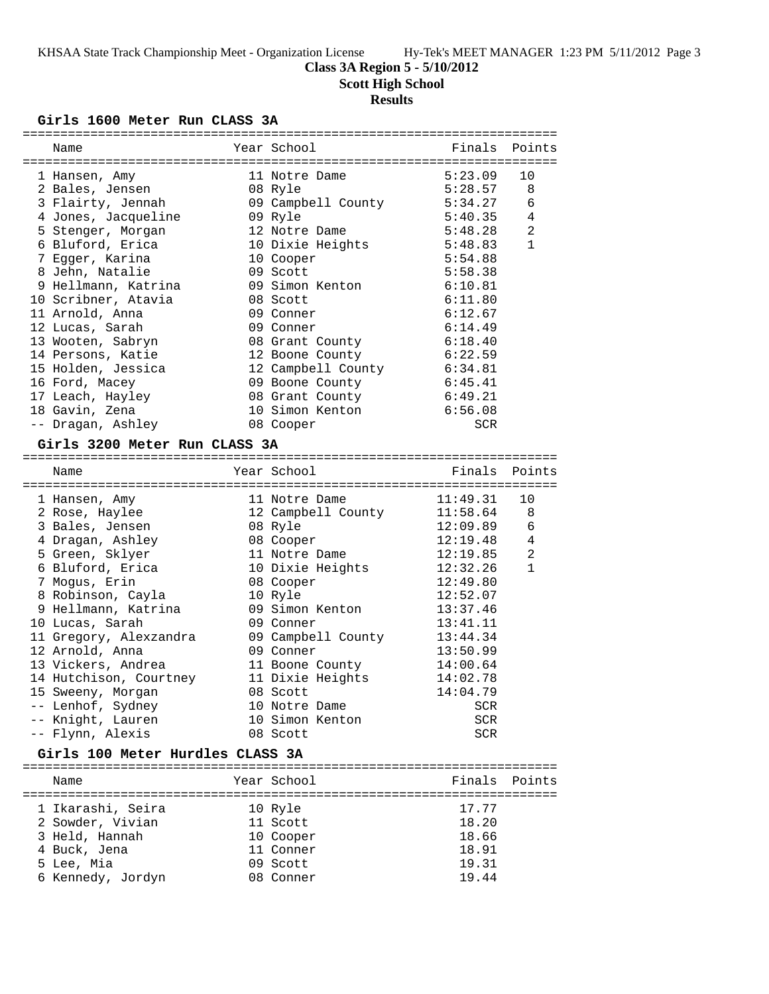**Class 3A Region 5 - 5/10/2012**

**Scott High School**

# **Results**

### **Girls 1600 Meter Run CLASS 3A**

| Name                                                                  |         | Year School                 | Finals Points |                |
|-----------------------------------------------------------------------|---------|-----------------------------|---------------|----------------|
| 1 Hansen, Amy                                                         |         | 11 Notre Dame               | 5:23.09       | 10             |
| 2 Bales, Jensen                                                       | 08 Ryle |                             | 5:28.57       | 8              |
| 3 Flairty, Jennah                                                     |         | 09 Campbell County 5:34.27  |               | 6              |
| 4 Jones, Jacqueline                                                   |         | 09 Ryle                     | 5:40.35       | 4              |
| 5 Stenger, Morgan                                                     |         | 12 Notre Dame               | 5:48.28       | 2              |
| 6 Bluford, Erica                                                      |         | 10 Dixie Heights 5:48.83    |               | $\mathbf{1}$   |
| 7 Egger, Karina                                                       |         | 10 Cooper                   | 5:54.88       |                |
| 8 Jehn, Natalie                                                       |         | 09 Scott                    | 5:58.38       |                |
| 9 Hellmann, Katrina             09 Simon Kenton               6:10.81 |         |                             |               |                |
| 10 Scribner, Atavia                                                   |         | 08 Scott                    | 6:11.80       |                |
| 11 Arnold, Anna                                                       |         | 09 Conner                   | 6:12.67       |                |
| 12 Lucas, Sarah                                                       |         | 09 Conner                   | 6:14.49       |                |
| 13 Wooten, Sabryn                                                     |         | 08 Grant County 6:18.40     |               |                |
| 14 Persons, Katie                                                     |         | 12 Boone County             | 6:22.59       |                |
| 15 Holden, Jessica                                                    |         | 12 Campbell County 6:34.81  |               |                |
| 16 Ford, Macey                                                        |         | 09 Boone County 6:45.41     |               |                |
| 17 Leach, Hayley                                                      |         | 08 Grant County             | 6:49.21       |                |
| 18 Gavin, Zena                                                        |         | 10 Simon Kenton 6:56.08     |               |                |
| -- Dragan, Ashley                                                     |         | 08 Cooper                   | <b>SCR</b>    |                |
| Girls 3200 Meter Run CLASS 3A                                         |         |                             |               |                |
| Name                                                                  |         | Year School                 | Finals        | Points         |
| 1 Hansen, Amy                                                         |         | 11 Notre Dame 11:49.31      |               | 10             |
| 2 Rose, Haylee                                                        |         | 12 Campbell County 11:58.64 |               | 8              |
| 3 Bales, Jensen                                                       |         | 08 Ryle                     | 12:09.89      | 6              |
| 4 Dragan, Ashley 08 Cooper                                            |         |                             | 12:19.48      | 4              |
| 5 Green, Sklyer                                                       |         | $11$ Notre Dame $12:19.85$  |               | $\overline{a}$ |
| 6 Bluford, Erica                                                      |         | 10 Dixie Heights            | 12:32.26      | $\mathbf{1}$   |

 7 Mogus, Erin 08 Cooper 12:49.80 8 Robinson, Cayla 10 Ryle 12:52.07 9 Hellmann, Katrina 09 Simon Kenton 13:37.46 10 Lucas, Sarah 09 Conner 13:41.11 11 Gregory, Alexzandra 09 Campbell County 13:44.34 12 Arnold, Anna 09 Conner 13:50.99 13 Vickers, Andrea 11 Boone County 14:00.64 14 Hutchison, Courtney 11 Dixie Heights 14:02.78 15 Sweeny, Morgan 08 Scott 14:04.79 -- Lenhof, Sydney 10 Notre Dame SCR -- Knight, Lauren 10 Simon Kenton SCR -- Flynn, Alexis 08 Scott SCR

## **Girls 100 Meter Hurdles CLASS 3A**

| Name              | Year School | Finals Points |  |
|-------------------|-------------|---------------|--|
|                   |             |               |  |
| 1 Ikarashi, Seira | 10 Ryle     | 17.77         |  |
| 2 Sowder, Vivian  | 11 Scott    | 18.20         |  |
| 3 Held, Hannah    | 10 Cooper   | 18.66         |  |
| 4 Buck, Jena      | 11 Conner   | 18.91         |  |
| 5 Lee, Mia        | 09 Scott    | 19.31         |  |
| 6 Kennedy, Jordyn | 08 Conner   | 19.44         |  |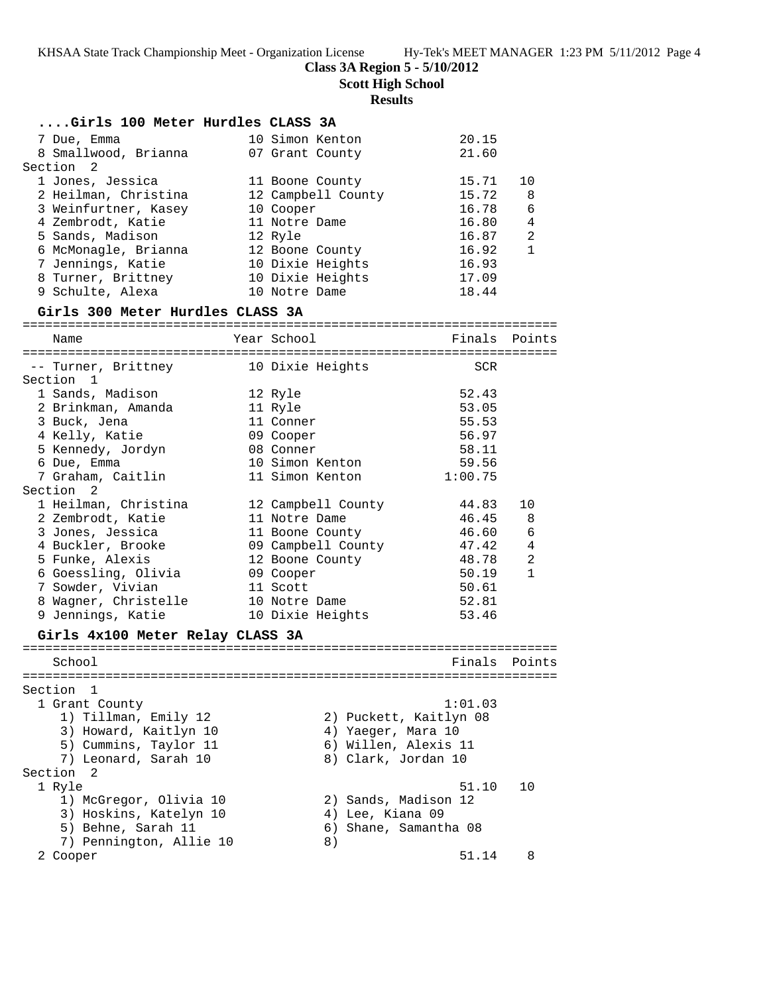**Scott High School**

# **Results**

| Girls 100 Meter Hurdles CLASS 3A |                    |                        |                |
|----------------------------------|--------------------|------------------------|----------------|
| 7 Due, Emma                      | 10 Simon Kenton    | 20.15                  |                |
| 8 Smallwood, Brianna             | 07 Grant County    | 21.60                  |                |
| Section <sub>2</sub>             |                    |                        |                |
| 1 Jones, Jessica                 | 11 Boone County    | 15.71                  | 10             |
| 2 Heilman, Christina             | 12 Campbell County | 15.72                  | 8              |
| 3 Weinfurtner, Kasey             | 10 Cooper          | 16.78                  | 6              |
| 4 Zembrodt, Katie                | 11 Notre Dame      | 16.80                  | 4              |
| 5 Sands, Madison                 | 12 Ryle            | 16.87                  | $\overline{2}$ |
| 6 McMonagle, Brianna             | 12 Boone County    | 16.92                  | $\mathbf{1}$   |
| 7 Jennings, Katie                | 10 Dixie Heights   | 16.93                  |                |
| 8 Turner, Brittney               | 10 Dixie Heights   | 17.09                  |                |
| 9 Schulte, Alexa                 | 10 Notre Dame      | 18.44                  |                |
| Girls 300 Meter Hurdles CLASS 3A |                    |                        |                |
| Name                             | Year School        |                        | Finals Points  |
| -- Turner, Brittney              | 10 Dixie Heights   | SCR                    |                |
| Section 1                        |                    |                        |                |
| 1 Sands, Madison                 | 12 Ryle            | 52.43                  |                |
| 2 Brinkman, Amanda               | 11 Ryle            | 53.05                  |                |
| 3 Buck, Jena                     | 11 Conner          | 55.53                  |                |
| 4 Kelly, Katie                   | 09 Cooper          | 56.97                  |                |
| 5 Kennedy, Jordyn                | 08 Conner          | 58.11                  |                |
| 6 Due, Emma                      | 10 Simon Kenton    | 59.56                  |                |
| 7 Graham, Caitlin                | 11 Simon Kenton    | 1:00.75                |                |
| Section <sub>2</sub>             |                    |                        |                |
| 1 Heilman, Christina             | 12 Campbell County | 44.83                  | 10             |
| 2 Zembrodt, Katie                | 11 Notre Dame      | 46.45                  | 8              |
| 3 Jones, Jessica                 | 11 Boone County    | 46.60                  | 6              |
| 4 Buckler, Brooke                | 09 Campbell County | 47.42                  | 4              |
| 5 Funke, Alexis                  | 12 Boone County    | 48.78                  | 2              |
| 6 Goessling, Olivia              | 09 Cooper          | 50.19                  | $\mathbf{1}$   |
| 7 Sowder, Vivian                 | 11 Scott           | 50.61                  |                |
| 8 Wagner, Christelle             | 10 Notre Dame      | 52.81                  |                |
| 9 Jennings, Katie                | 10 Dixie Heights   | 53.46                  |                |
| Girls 4x100 Meter Relay CLASS 3A |                    |                        |                |
|                                  |                    |                        |                |
| School                           |                    |                        | Finals Points  |
| Section 1                        |                    |                        |                |
| 1 Grant County                   |                    | 1:01.03                |                |
| 1) Tillman, Emily 12             |                    | 2) Puckett, Kaitlyn 08 |                |
| 3) Howard, Kaitlyn 10            | 4) Yaeger, Mara 10 |                        |                |
| 5) Cummins, Taylor 11            |                    | 6) Willen, Alexis 11   |                |
| 7) Leonard, Sarah 10             |                    | 8) Clark, Jordan 10    |                |
| Section 2                        |                    |                        |                |
| 1 Ryle                           |                    | 51.10                  | 10             |
| 1) McGregor, Olivia 10           |                    | 2) Sands, Madison 12   |                |
| 3) Hoskins, Katelyn 10           | 4) Lee, Kiana 09   |                        |                |
| 5) Behne, Sarah 11               |                    | 6) Shane, Samantha 08  |                |
| 7) Pennington, Allie 10          | 8)                 |                        |                |
| 2 Cooper                         |                    | 51.14                  | 8              |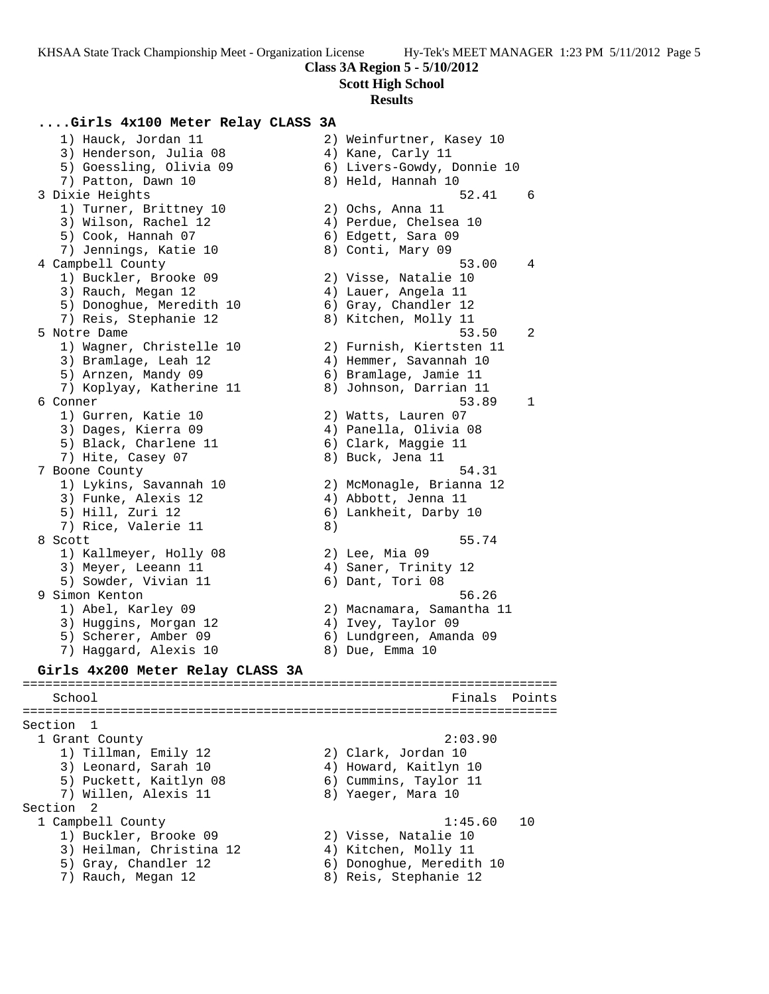**Scott High School**

#### **Results**

### **....Girls 4x100 Meter Relay CLASS 3A**

 1) Hauck, Jordan 11 2) Weinfurtner, Kasey 10 3) Henderson, Julia 08 (4) Kane, Carly 11 5) Goessling, Olivia 09 6) Livers-Gowdy, Donnie 10 7) Patton, Dawn 10 8) Held, Hannah 10 3 Dixie Heights 52.41 6 1) Turner, Brittney 10 (2) Ochs, Anna 11 3) Wilson, Rachel 12 4) Perdue, Chelsea 10 5) Cook, Hannah 07 6) Edgett, Sara 09 7) Jennings, Katie 10  $\hskip1cm 8)$  Conti, Mary 09 4 Campbell County 53.00 4 1) Buckler, Brooke 09 2) Visse, Natalie 10 3) Rauch, Megan 12 (4) Lauer, Angela 11 5) Donoghue, Meredith 10  $\qquad \qquad$  6) Gray, Chandler 12 7) Reis, Stephanie 12 and 8) Kitchen, Molly 11 5 Notre Dame 53.50 2 1) Wagner, Christelle 10 2) Furnish, Kiertsten 11 3) Bramlage, Leah 12 4) Hemmer, Savannah 10 5) Arnzen, Mandy 09 6) Bramlage, Jamie 11 7) Koplyay, Katherine 11 8) Johnson, Darrian 11 6 Conner 53.89 1 1) Gurren, Katie 10 2) Watts, Lauren 07 3) Dages, Kierra 09 4) Panella, Olivia 08 5) Black, Charlene 11 (6) Clark, Maggie 11 7) Hite, Casey 07 (8) Buck, Jena 11 7 Boone County 54.31 1) Lykins, Savannah 10 2) McMonagle, Brianna 12 3) Funke, Alexis 12 4) Abbott, Jenna 11 5) Hill, Zuri 12 6) Lankheit, Darby 10 7) Rice, Valerie 11 8) 8 Scott 55.74 1) Kallmeyer, Holly 08 2) Lee, Mia 09 3) Meyer, Leeann 11 (4) Saner, Trinity 12 5) Sowder, Vivian 11 6) Dant, Tori 08 9 Simon Kenton 56.26 1) Abel, Karley 09 2) Macnamara, Samantha 11 3) Huggins, Morgan 12 4) Ivey, Taylor 09 5) Scherer, Amber 09 6) Lundgreen, Amanda 09 7) Haggard, Alexis 10 and 8) Due, Emma 10 **Girls 4x200 Meter Relay CLASS 3A** ======================================================================= School **Finals Points** ======================================================================= Section 1 1 Grant County 2:03.90 1) Tillman, Emily 12 2) Clark, Jordan 10 3) Leonard, Sarah 10 4) Howard, Kaitlyn 10 5) Puckett, Kaitlyn 08 6) Cummins, Taylor 11 7) Willen, Alexis 11 and 8) Yaeger, Mara 10 Section 2<br>1 Campbell County 1 Campbell County 1:45.60 10 1) Buckler, Brooke 09 2) Visse, Natalie 10 3) Heilman, Christina 12 4) Kitchen, Molly 11 5) Gray, Chandler 12 6) Donoghue, Meredith 10

7) Rauch, Megan 12 8) Reis, Stephanie 12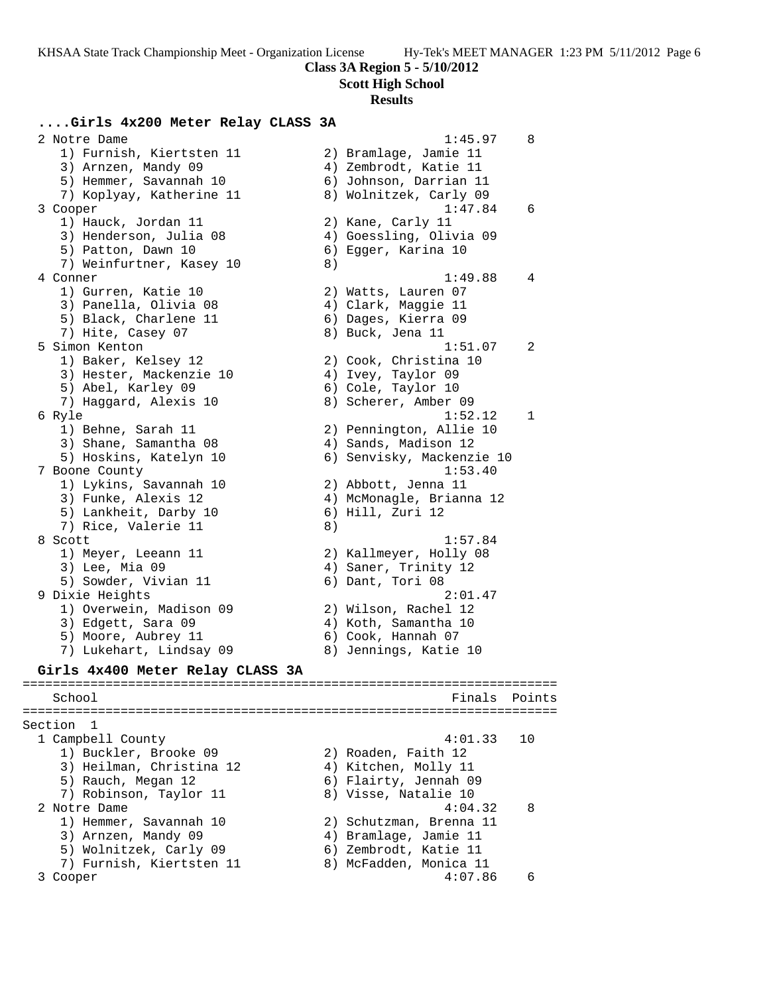**Scott High School**

#### **Results**

### **....Girls 4x200 Meter Relay CLASS 3A**

 2 Notre Dame 1:45.97 8 1) Furnish, Kiertsten 11 2) Bramlage, Jamie 11 3) Arnzen, Mandy 09 4) Zembrodt, Katie 11 5) Hemmer, Savannah 10 6) Johnson, Darrian 11 7) Koplyay, Katherine 11 8) Wolnitzek, Carly 09 3 Cooper 1:47.84 6 1) Hauck, Jordan 11 2) Kane, Carly 11 3) Henderson, Julia 08 4) Goessling, Olivia 09 5) Patton, Dawn 10 6) Egger, Karina 10 7) Weinfurtner, Kasey 10 8) 4 Conner 1:49.88 4 1) Gurren, Katie 10 2) Watts, Lauren 07 3) Panella, Olivia 08 (4) Clark, Maggie 11 5) Black, Charlene 11 (6) Dages, Kierra 09 7) Hite, Casey 07 (8) Buck, Jena 11 5 Simon Kenton 1:51.07 2 1) Baker, Kelsey 12 2) Cook, Christina 10 3) Hester, Mackenzie 10 4) Ivey, Taylor 09 5) Abel, Karley 09 6) Cole, Taylor 10 7) Haggard, Alexis 10 8) Scherer, Amber 09 6 Ryle 1:52.12 1 1) Behne, Sarah 11 2) Pennington, Allie 10 3) Shane, Samantha 08 (4) Sands, Madison 12 5) Hoskins, Katelyn 10 6) Senvisky, Mackenzie 10 7 Boone County 1:53.40 1) Lykins, Savannah 10 2) Abbott, Jenna 11 3) Funke, Alexis 12 4) McMonagle, Brianna 12 5) Lankheit, Darby 10 6) Hill, Zuri 12 7) Rice, Valerie 11 8) 8 Scott 1:57.84 1) Meyer, Leeann 11 2) Kallmeyer, Holly 08 3) Lee, Mia 09 (2008) 4) Saner, Trinity 12 5) Sowder, Vivian 11 6) Dant, Tori 08 9 Dixie Heights 2:01.47 1) Overwein, Madison 09 2) Wilson, Rachel 12 3) Edgett, Sara 09  $\hskip1cm \hskip1cm 4$ ) Koth, Samantha 10 5) Moore, Aubrey 11 6) Cook, Hannah 07 7) Lukehart, Lindsay 09 8) Jennings, Katie 10 **Girls 4x400 Meter Relay CLASS 3A** ======================================================================= School **Finals** Points **Points** ======================================================================= Section 1<br>1 Campbell County 1 Campbell County 4:01.33 10 1) Buckler, Brooke 09 2) Roaden, Faith 12 3) Heilman, Christina 12  $\hskip1cm$  4) Kitchen, Molly 11 5) Rauch, Megan 12 6) Flairty, Jennah 09 7) Robinson, Taylor 11 and 8) Visse, Natalie 10 2 Notre Dame 4:04.32 8 1) Hemmer, Savannah 10 2) Schutzman, Brenna 11 3) Arnzen, Mandy 09 4) Bramlage, Jamie 11 5) Wolnitzek, Carly 09 6) Zembrodt, Katie 11 7) Furnish, Kiertsten 11 8) McFadden, Monica 11 3 Cooper 4:07.86 6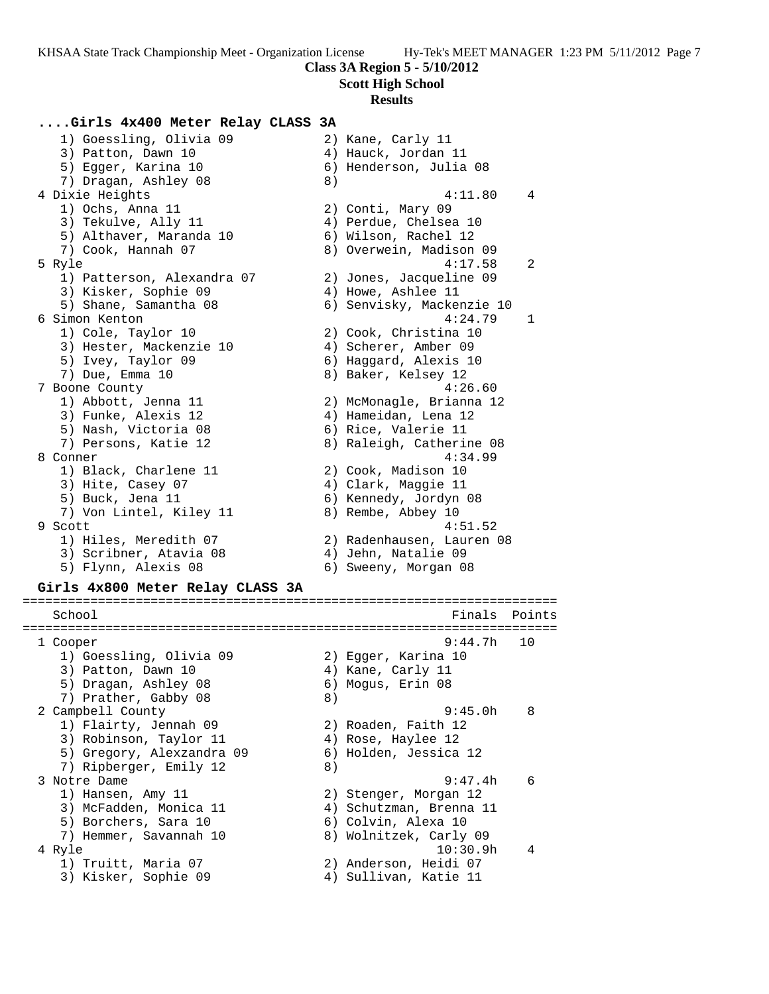### **Scott High School**

#### **Results**

### **....Girls 4x400 Meter Relay CLASS 3A**

 1) Goessling, Olivia 09 2) Kane, Carly 11 3) Patton, Dawn 10 (4) Hauck, Jordan 11 5) Egger, Karina 10 6) Henderson, Julia 08 7) Dragan, Ashley 08 8) 4 Dixie Heights 4:11.80 4 1) Ochs, Anna 11 2) Conti, Mary 09 3) Tekulve, Ally 11 4) Perdue, Chelsea 10 5) Althaver, Maranda 10 (6) Wilson, Rachel 12 7) Cook, Hannah 07 8) Overwein, Madison 09 5 Ryle 4:17.58 2 1) Patterson, Alexandra 07 2) Jones, Jacqueline 09 3) Kisker, Sophie 09 (4) Howe, Ashlee 11 5) Shane, Samantha 08 6) Senvisky, Mackenzie 10 6 Simon Kenton 4:24.79 1 1) Cole, Taylor 10 2) Cook, Christina 10 3) Hester, Mackenzie 10 (4) Scherer, Amber 09 5) Ivey, Taylor 09 6) Haggard, Alexis 10 7) Due, Emma 10  $\hphantom{\text{2.65}$  8) Baker, Kelsey 12 7 Boone County 4:26.60 1) Abbott, Jenna 11 2) McMonagle, Brianna 12 3) Funke, Alexis 12 (4) Hameidan, Lena 12 5) Nash, Victoria 08 6) Rice, Valerie 11 7) Persons, Katie 12 8) Raleigh, Catherine 08 8 Conner 4:34.99 1) Black, Charlene 11 2) Cook, Madison 10 3) Hite, Casey 07 (4) Clark, Maggie 11 5) Buck, Jena 11 6) Kennedy, Jordyn 08 7) Von Lintel, Kiley 11 and 8) Rembe, Abbey 10 9 Scott 4:51.52 1) Hiles, Meredith 07 2) Radenhausen, Lauren 08 3) Scribner, Atavia 08 4) Jehn, Natalie 09 5) Flynn, Alexis 08 6) Sweeny, Morgan 08 **Girls 4x800 Meter Relay CLASS 3A** ======================================================================= School **Finals** Points **Points** ======================================================================= 1 Cooper 9:44.7h 10 1) Goessling, Olivia 09 2) Egger, Karina 10 3) Patton, Dawn 10 4) Kane, Carly 11 5) Dragan, Ashley 08 6) Mogus, Erin 08 7) Prather, Gabby 08 8) 2 Campbell County 9:45.0h 8 1) Flairty, Jennah 09 2) Roaden, Faith 12 3) Robinson, Taylor 11  $\hskip10mm 4$ ) Rose, Haylee 12

- 5) Gregory, Alexzandra 09 6) Holden, Jessica 12 7) Ripberger, Emily 12 (8) 3 Notre Dame 9:47.4h 6 1) Hansen, Amy 11 2) Stenger, Morgan 12 3) McFadden, Monica 11 4) Schutzman, Brenna 11 5) Borchers, Sara 10 (6) Colvin, Alexa 10 7) Hemmer, Savannah 10 8) Wolnitzek, Carly 09
- 4 Ryle 10:30.9h 4
- 1) Truitt, Maria 07 2) Anderson, Heidi 07
	-
- 
- 3) Kisker, Sophie 09 4) Sullivan, Katie 11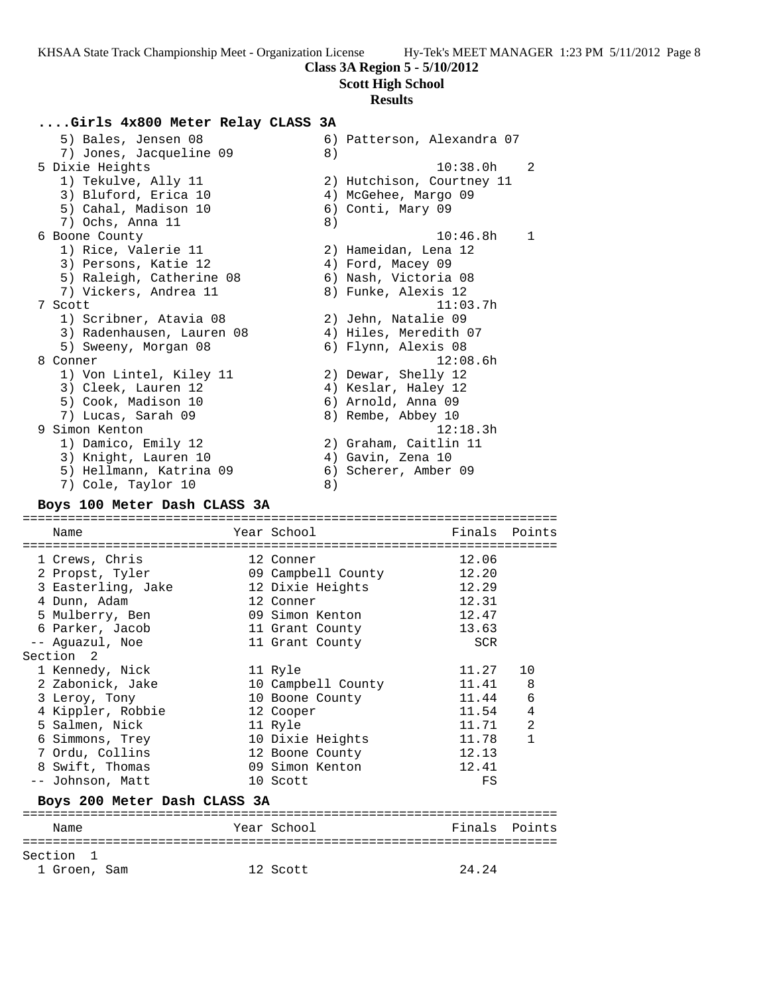**Scott High School**

# **Results**

## **....Girls 4x800 Meter Relay CLASS 3A**

| 5) Bales, Jensen 08<br>7) Jones, Jacqueline 09 | 8) | 6) Patterson, Alexandra 07 |              |
|------------------------------------------------|----|----------------------------|--------------|
| 5 Dixie Heights                                |    | 10:38.0h                   | 2            |
| 1) Tekulve, Ally 11                            |    | 2) Hutchison, Courtney 11  |              |
| 3) Bluford, Erica 10                           |    | 4) McGehee, Margo 09       |              |
|                                                |    |                            |              |
| 5) Cahal, Madison 10                           |    | 6) Conti, Mary 09          |              |
| 7) Ochs, Anna 11                               | 8) |                            |              |
| 6 Boone County                                 |    | 10:46.8h                   | $\mathbf{1}$ |
| 1) Rice, Valerie 11                            |    | 2) Hameidan, Lena 12       |              |
| 3) Persons, Katie 12                           |    | 4) Ford, Macey 09          |              |
| 5) Raleigh, Catherine 08                       |    | 6) Nash, Victoria 08       |              |
| 7) Vickers, Andrea 11                          |    | 8) Funke, Alexis 12        |              |
| 7 Scott                                        |    | 11:03.7h                   |              |
| 1) Scribner, Atavia 08                         |    | 2) Jehn, Natalie 09        |              |
| 3) Radenhausen, Lauren 08                      |    | 4) Hiles, Meredith 07      |              |
| 5) Sweeny, Morgan 08                           |    | 6) Flynn, Alexis 08        |              |
| 8 Conner                                       |    | 12:08.6h                   |              |
| 1) Von Lintel, Kiley 11                        |    | 2) Dewar, Shelly 12        |              |
| 3) Cleek, Lauren 12                            |    | 4) Keslar, Haley 12        |              |
| 5) Cook, Madison 10                            |    | 6) Arnold, Anna 09         |              |
| 7) Lucas, Sarah 09                             |    | 8) Rembe, Abbey 10         |              |
| 9 Simon Kenton                                 |    | 12:18.3h                   |              |
| 1) Damico, Emily 12                            |    | 2) Graham, Caitlin 11      |              |
| 3) Knight, Lauren 10                           |    | 4) Gavin, Zena 10          |              |
| 5) Hellmann, Katrina 09                        |    | 6) Scherer, Amber 09       |              |
|                                                |    |                            |              |
| 7) Cole, Taylor 10                             | 8) |                            |              |

### **Boys 100 Meter Dash CLASS 3A**

Section 1<br>1 Groen, Sam

| Name                         | Year School            | Finals Points |              |
|------------------------------|------------------------|---------------|--------------|
| =========================    | :===================== |               |              |
| 1 Crews, Chris               | 12 Conner              | 12.06         |              |
| 2 Propst, Tyler              | 09 Campbell County     | 12.20         |              |
| 3 Easterling, Jake           | 12 Dixie Heights       | 12.29         |              |
| 4 Dunn, Adam                 | 12 Conner              | 12.31         |              |
| 5 Mulberry, Ben              | 09 Simon Kenton        | 12.47         |              |
| 6 Parker, Jacob              | 11 Grant County        | 13.63         |              |
| -- Aquazul, Noe              | 11 Grant County        | <b>SCR</b>    |              |
| Section <sub>2</sub>         |                        |               |              |
| 1 Kennedy, Nick              | 11 Ryle                | 11.27         | 10           |
| 2 Zabonick, Jake             | 10 Campbell County     | 11.41         | 8            |
| 3 Leroy, Tony                | 10 Boone County        | 11.44         | 6            |
| 4 Kippler, Robbie            | 12 Cooper              | 11.54         | 4            |
| 5 Salmen, Nick               | 11 Ryle                | 11.71         | 2            |
| 6 Simmons, Trey              | 10 Dixie Heights       | 11.78         | $\mathbf{1}$ |
| 7 Ordu, Collins              | 12 Boone County        | 12.13         |              |
| 8 Swift, Thomas              | 09 Simon Kenton        | 12.41         |              |
| -- Johnson, Matt             | 10 Scott               | FS            |              |
| Boys 200 Meter Dash CLASS 3A |                        |               |              |
|                              |                        |               |              |
| Name                         | Year School            | Finals        | Points       |
|                              |                        |               |              |

12 Scott 24.24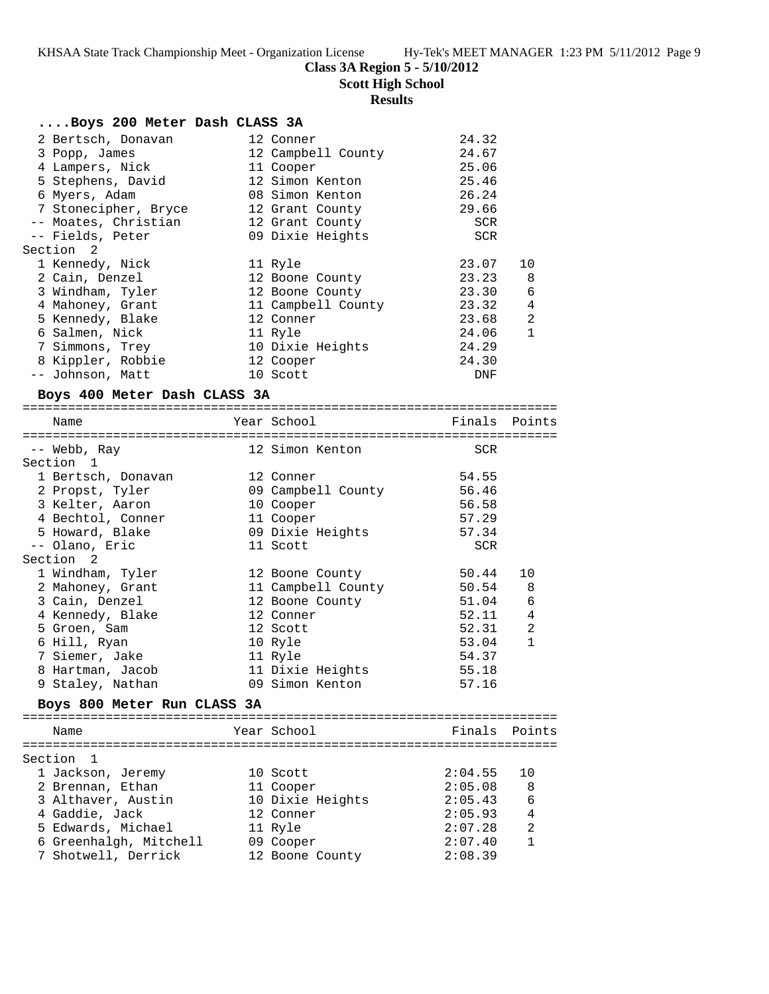**Scott High School**

# **Results**

| Boys 200 Meter Dash CLASS 3A     |                              |                |                |
|----------------------------------|------------------------------|----------------|----------------|
| 2 Bertsch, Donavan               | 12 Conner                    | 24.32          |                |
| 3 Popp, James                    | 12 Campbell County           | 24.67          |                |
| 4 Lampers, Nick                  | 11 Cooper                    | 25.06          |                |
| 5 Stephens, David                | 12 Simon Kenton              | 25.46          |                |
| 6 Myers, Adam                    | 08 Simon Kenton              | 26.24          |                |
| 7 Stonecipher, Bryce             | 12 Grant County              | 29.66          |                |
| -- Moates, Christian             | 12 Grant County              | SCR            |                |
| -- Fields, Peter                 | 09 Dixie Heights             | <b>SCR</b>     |                |
| Section 2                        |                              |                |                |
| 1 Kennedy, Nick                  | 11 Ryle                      | 23.07          | 10             |
| 2 Cain, Denzel                   | 12 Boone County              | 23.23          | 8              |
| 3 Windham, Tyler                 | 12 Boone County              | 23.30          | 6              |
| 4 Mahoney, Grant                 | 11 Campbell County           | 23.32          | $\overline{4}$ |
| 5 Kennedy, Blake                 | 12 Conner                    | 23.68          | 2              |
| 6 Salmen, Nick                   | 11 Ryle                      | 24.06          | $\mathbf{1}$   |
| 7 Simmons, Trey                  | 10 Dixie Heights             | 24.29          |                |
| 8 Kippler, Robbie                | 12 Cooper                    | 24.30          |                |
| -- Johnson, Matt                 | 10 Scott                     | DNF            |                |
| Boys 400 Meter Dash CLASS 3A     |                              |                |                |
| Name                             | Year School                  | Finals Points  |                |
|                                  |                              |                |                |
| -- Webb, Ray                     | 12 Simon Kenton              | SCR            |                |
| Section 1                        |                              |                |                |
| 1 Bertsch, Donavan               | 12 Conner                    | 54.55          |                |
| 2 Propst, Tyler                  | 09 Campbell County           | 56.46          |                |
| 3 Kelter, Aaron                  | 10 Cooper                    | 56.58          |                |
| 4 Bechtol, Conner                | 11 Cooper                    | 57.29          |                |
| 5 Howard, Blake                  | 09 Dixie Heights             | 57.34          |                |
| -- Olano, Eric                   | 11 Scott                     | <b>SCR</b>     |                |
| Section 2                        |                              |                |                |
| 1 Windham, Tyler                 | 12 Boone County              | 50.44          | 10             |
| 2 Mahoney, Grant                 | 11 Campbell County 50.54     |                | 8<br>6         |
| 3 Cain, Denzel                   | 12 Boone County<br>12 Conner | 51.04<br>52.11 | $\overline{4}$ |
| 4 Kennedy, Blake<br>5 Groen, Sam | 12 Scott                     | 52.31          | 2              |
| 6 Hill, Ryan                     | 10 Ryle                      | 53.04          | $\mathbf{1}$   |
| 7 Siemer, Jake                   | 11 Ryle                      | 54.37          |                |
| 8 Hartman, Jacob                 | 11 Dixie Heights             | 55.18          |                |
| 9 Staley, Nathan                 | 09 Simon Kenton              | 57.16          |                |
|                                  |                              |                |                |
| Boys 800 Meter Run CLASS 3A      |                              |                |                |
| Name                             | Year School                  | Finals         | Points         |
| Section<br>1                     |                              |                |                |
| 1 Jackson, Jeremy                | 10 Scott                     | 2:04.55        | 10             |
| 2 Brennan, Ethan                 | 11 Cooper                    | 2:05.08        | 8              |
| 3 Althaver, Austin               | 10 Dixie Heights             | 2:05.43        | 6              |
| 4 Gaddie, Jack                   | 12 Conner                    | 2:05.93        | 4              |
| 5 Edwards, Michael               | 11 Ryle                      | 2:07.28        | 2              |
| 6 Greenhalgh, Mitchell           | 09 Cooper                    | 2:07.40        | 1              |
| 7 Shotwell, Derrick              | 12 Boone County              | 2:08.39        |                |
|                                  |                              |                |                |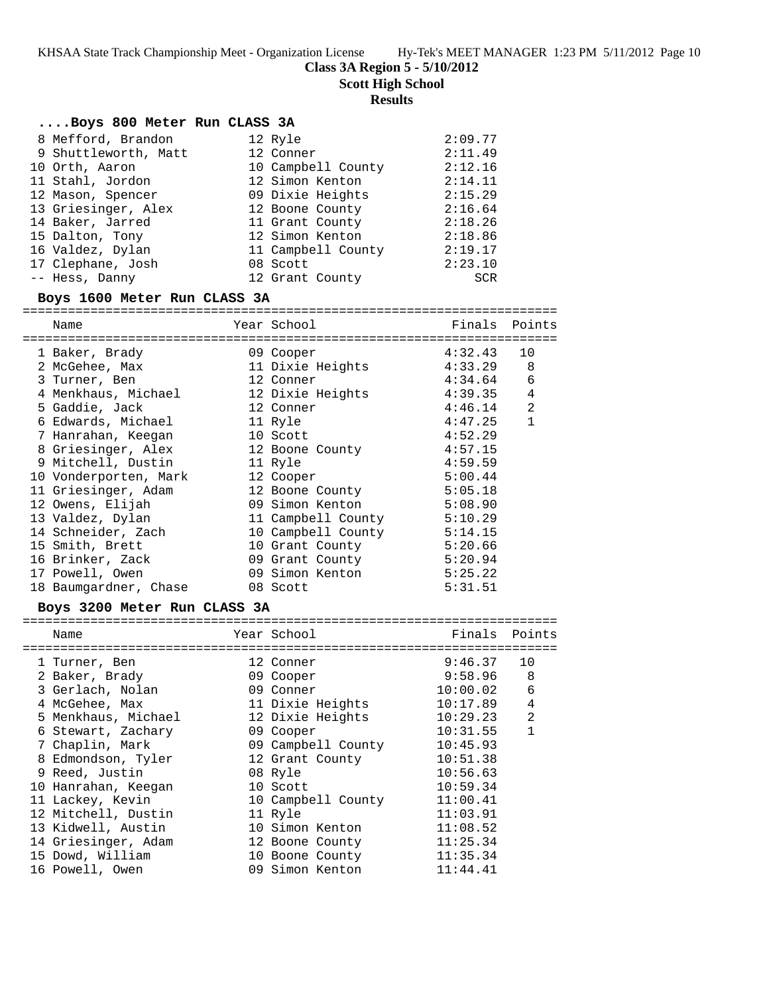**Class 3A Region 5 - 5/10/2012**

**Scott High School**

## **Results**

## **....Boys 800 Meter Run CLASS 3A**

| 8 Mefford, Brandon   | 12 Ryle            | 2:09.77    |
|----------------------|--------------------|------------|
| 9 Shuttleworth, Matt | 12 Conner          | 2:11.49    |
| 10 Orth, Aaron       | 10 Campbell County | 2:12.16    |
| 11 Stahl, Jordon     | 12 Simon Kenton    | 2:14.11    |
| 12 Mason, Spencer    | 09 Dixie Heights   | 2:15.29    |
| 13 Griesinger, Alex  | 12 Boone County    | 2:16.64    |
| 14 Baker, Jarred     | 11 Grant County    | 2:18.26    |
| 15 Dalton, Tony      | 12 Simon Kenton    | 2:18.86    |
| 16 Valdez, Dylan     | 11 Campbell County | 2:19.17    |
| 17 Clephane, Josh    | 08 Scott           | 2:23.10    |
| -- Hess, Danny       | 12 Grant County    | <b>SCR</b> |

## **Boys 1600 Meter Run CLASS 3A**

| ====================            |                             |               |                |
|---------------------------------|-----------------------------|---------------|----------------|
| Name                            | Year School                 | Finals Points |                |
| ==========================      | --------------------------- |               |                |
| 1 Baker, Brady                  | 09 Cooper                   | 4:32.43       | 10             |
| 2 McGehee, Max                  | 11 Dixie Heights            | 4:33.29       | 8              |
| 3 Turner, Ben                   | 12 Conner                   | 4:34.64       | 6              |
|                                 |                             | 4:39.35       | $\overline{4}$ |
| 5 Gaddie, Jack                  | 4:46.14<br>12 Conner        |               | $\overline{2}$ |
| 6 Edwards, Michael 11 Ryle      |                             | 4:47.25       | $\mathbf{1}$   |
| 7 Hanrahan, Keegan              | 10 Scott                    | 4:52.29       |                |
| 8 Griesinger, Alex              | 12 Boone County             | 4:57.15       |                |
| 9 Mitchell, Dustin              | 11 Ryle                     | 4:59.59       |                |
| 10 Vonderporten, Mark 12 Cooper |                             | 5:00.44       |                |
| 11 Griesinger, Adam             | 12 Boone County             | 5:05.18       |                |
| 12 Owens, Elijah                | 09 Simon Kenton             | 5:08.90       |                |
| 13 Valdez, Dylan                | 11 Campbell County 5:10.29  |               |                |
| 14 Schneider, Zach              | 10 Campbell County 5:14.15  |               |                |
| 15 Smith, Brett                 | 10 Grant County             | 5:20.66       |                |
| 16 Brinker, Zack                | 09 Grant County             | 5:20.94       |                |
| 17 Powell, Owen                 | 09 Simon Kenton             | 5:25.22       |                |
| 18 Baumgardner, Chase           | 08 Scott                    | 5:31.51       |                |

# **Boys 3200 Meter Run CLASS 3A**

| Name                | Year School        | Finals      | Points         |
|---------------------|--------------------|-------------|----------------|
|                     |                    | ----------- |                |
| 1 Turner, Ben       | 12 Conner          | 9:46.37     | 10             |
| 2 Baker, Brady      | 09 Cooper          | 9:58.96     | 8              |
| 3 Gerlach, Nolan    | 09 Conner          | 10:00.02    | 6              |
| 4 McGehee, Max      | 11 Dixie Heights   | 10:17.89    | $\overline{4}$ |
| 5 Menkhaus, Michael | 12 Dixie Heights   | 10:29.23    | $\overline{2}$ |
| 6 Stewart, Zachary  | 09 Cooper          | 10:31.55    | 1              |
| 7 Chaplin, Mark     | 09 Campbell County | 10:45.93    |                |
| 8 Edmondson, Tyler  | 12 Grant County    | 10:51.38    |                |
| 9 Reed, Justin      | 08 Ryle            | 10:56.63    |                |
| 10 Hanrahan, Keegan | 10 Scott           | 10:59.34    |                |
| 11 Lackey, Kevin    | 10 Campbell County | 11:00.41    |                |
| 12 Mitchell, Dustin | 11 Ryle            | 11:03.91    |                |
| 13 Kidwell, Austin  | 10 Simon Kenton    | 11:08.52    |                |
| 14 Griesinger, Adam | 12 Boone County    | 11:25.34    |                |
| 15 Dowd, William    | 10 Boone County    | 11:35.34    |                |
| 16 Powell, Owen     | 09 Simon Kenton    | 11:44.41    |                |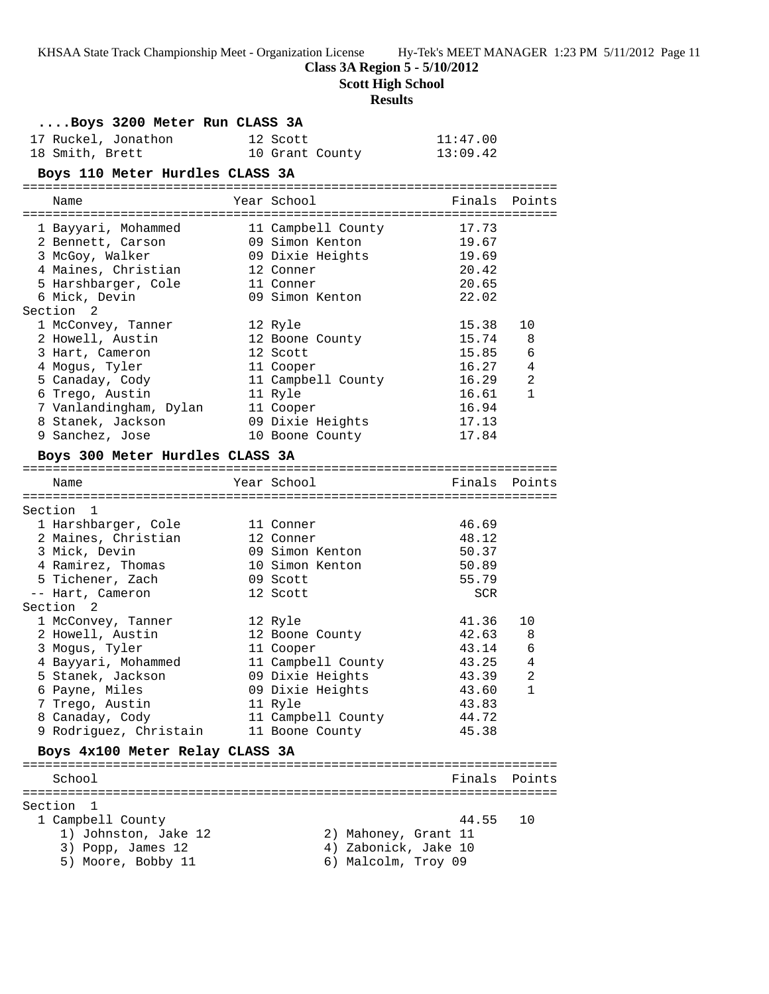**Class 3A Region 5 - 5/10/2012**

**Scott High School**

# **Results**

| Boys 3200 Meter Run CLASS 3A               |                      |          |               |
|--------------------------------------------|----------------------|----------|---------------|
| 17 Ruckel, Jonathon                        | 12 Scott             | 11:47.00 |               |
| 18 Smith, Brett                            | 10 Grant County      | 13:09.42 |               |
| Boys 110 Meter Hurdles CLASS 3A            |                      |          |               |
| Name                                       | Year School          |          | Finals Points |
| 1 Bayyari, Mohammed                        | 11 Campbell County   | 17.73    |               |
| 2 Bennett, Carson                          | 09 Simon Kenton      | 19.67    |               |
| 3 McGoy, Walker                            | 09 Dixie Heights     | 19.69    |               |
| 4 Maines, Christian                        | 12 Conner            | 20.42    |               |
| 5 Harshbarger, Cole                        | 11 Conner            | 20.65    |               |
| 6 Mick, Devin                              | 09 Simon Kenton      | 22.02    |               |
| Section 2                                  |                      |          |               |
| 1 McConvey, Tanner                         | 12 Ryle              | 15.38    | 10            |
| 2 Howell, Austin                           | 12 Boone County      | 15.74    | 8             |
| 3 Hart, Cameron                            | 12 Scott             | 15.85    | 6             |
| 4 Mogus, Tyler                             | 11 Cooper            | 16.27    | 4             |
| 5 Canaday, Cody                            | 11 Campbell County   | 16.29    | 2             |
| 6 Trego, Austin                            | 11 Ryle              | 16.61    | 1             |
| 7 Vanlandingham, Dylan                     | 11 Cooper            | 16.94    |               |
| 8 Stanek, Jackson                          | 09 Dixie Heights     | 17.13    |               |
| 9 Sanchez, Jose                            | 10 Boone County      | 17.84    |               |
| Boys 300 Meter Hurdles CLASS 3A            |                      |          |               |
|                                            |                      |          |               |
| Name                                       | Year School          | Finals   | Points        |
| Section 1                                  |                      |          |               |
|                                            | 11 Conner            | 46.69    |               |
| 1 Harshbarger, Cole<br>2 Maines, Christian | 12 Conner            | 48.12    |               |
| 3 Mick, Devin                              | 09 Simon Kenton      | 50.37    |               |
| 4 Ramirez, Thomas                          | 10 Simon Kenton      | 50.89    |               |
| 5 Tichener, Zach                           | 09 Scott             | 55.79    |               |
| -- Hart, Cameron                           | 12 Scott             | SCR      |               |
| Section <sub>2</sub>                       |                      |          |               |
| 1 McConvey, Tanner                         | 12 Ryle              | 41.36    | 10            |
| 2 Howell, Austin                           | 12 Boone County      | 42.63    | 8             |
| 3 Mogus, Tyler                             | 11 Cooper            | 43.14    | 6             |
| 4 Bayyari, Mohammed                        | 11 Campbell County   | 43.25    | 4             |
| 5 Stanek, Jackson                          | 09 Dixie Heights     | 43.39    | $\sqrt{2}$    |
| 6 Payne, Miles                             | 09 Dixie Heights     | 43.60    | 1             |
| 7 Trego, Austin                            | 11 Ryle              | 43.83    |               |
| 8 Canaday, Cody                            | 11 Campbell County   | 44.72    |               |
| 9 Rodriguez, Christain                     | 11 Boone County      | 45.38    |               |
|                                            |                      |          |               |
| Boys 4x100 Meter Relay CLASS 3A            |                      |          |               |
| School                                     |                      | Finals   | Points        |
|                                            |                      |          |               |
| Section<br>-1                              |                      |          |               |
|                                            |                      |          |               |
| 1 Campbell County                          |                      | 44.55    | 10            |
| 1) Johnston, Jake 12                       | 2) Mahoney, Grant 11 |          |               |
| 3) Popp, James 12                          | 4) Zabonick, Jake 10 |          |               |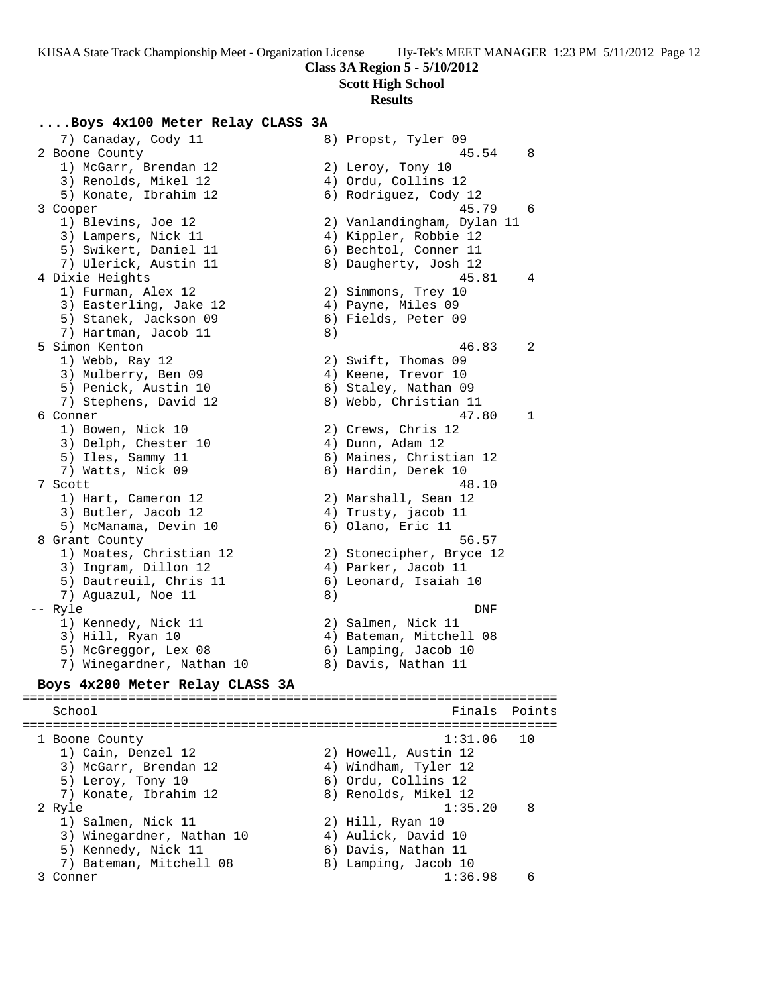**Scott High School**

### **Results**

### **....Boys 4x100 Meter Relay CLASS 3A**

7) Canaday, Cody 11 8) Propst, Tyler 09<br>2 Boone County 45.54 8 2 Boone County 45.54 8 1) McGarr, Brendan 12 2) Leroy, Tony 10 3) Renolds, Mikel 12 (4) Ordu, Collins 12 5) Konate, Ibrahim 12 6) Rodriguez, Cody 12 3 Cooper 45.79 6 1) Blevins, Joe 12 2) Vanlandingham, Dylan 11 3) Lampers, Nick 11 4) Kippler, Robbie 12 5) Swikert, Daniel 11 6) Bechtol, Conner 11 7) Ulerick, Austin 11 8) Daugherty, Josh 12 4 Dixie Heights 45.81 4 1) Furman, Alex 12 2) Simmons, Trey 10 3) Easterling, Jake 12  $\hskip 10mm 4$ ) Payne, Miles 09 5) Stanek, Jackson 09 6) Fields, Peter 09 7) Hartman, Jacob 11 8) 5 Simon Kenton 46.83 2 1) Webb, Ray 12 2) Swift, Thomas 09 3) Mulberry, Ben 09 (4) Keene, Trevor 10 5) Penick, Austin 10  $\hphantom{\ddots}$  6) Staley, Nathan 09 7) Stephens, David 12 8) Webb, Christian 11 6 Conner 47.80 1 1) Bowen, Nick 10 2) Crews, Chris 12 3) Delph, Chester 10 4) Dunn, Adam 12 5) Iles, Sammy 11 6) Maines, Christian 12 7) Watts, Nick 09 8) Hardin, Derek 10 7 Scott 48.10 1) Hart, Cameron 12 2) Marshall, Sean 12 3) Butler, Jacob 12 4) Trusty, jacob 11 5) McManama, Devin 10 (6) Olano, Eric 11 8 Grant County 56.57 1) Moates, Christian 12 2) Stonecipher, Bryce 12 3) Ingram, Dillon 12 4) Parker, Jacob 11 5) Dautreuil, Chris 11 6) Leonard, Isaiah 10 7) Aguazul, Noe 11 and 8) -- Ryle DNF 1) Kennedy, Nick 11 2) Salmen, Nick 11 3) Hill, Ryan 10 4) Bateman, Mitchell 08 5) McGreggor, Lex 08 6) Lamping, Jacob 10 7) Winegardner, Nathan 10  $\qquad \qquad 8)$  Davis, Nathan 11 **Boys 4x200 Meter Relay CLASS 3A** ======================================================================= School **Finals** Points ======================================================================= 1 Boone County 1:31.06 10 1) Cain, Denzel 12 2) Howell, Austin 12 3) McGarr, Brendan 12  $\hskip1cm \hskip1cm 4$ ) Windham, Tyler 12 5) Leroy, Tony 10 6) Ordu, Collins 12 7) Konate, Ibrahim 12  $\hskip10mm$  8) Renolds, Mikel 12 2 Ryle 1:35.20 8 1) Salmen, Nick 11 2) Hill, Ryan 10 3) Winegardner, Nathan 10 (4) Aulick, David 10 5) Kennedy, Nick 11 6) Davis, Nathan 11 7) Bateman, Mitchell 08 8) Lamping, Jacob 10

3 Conner 1:36.98 6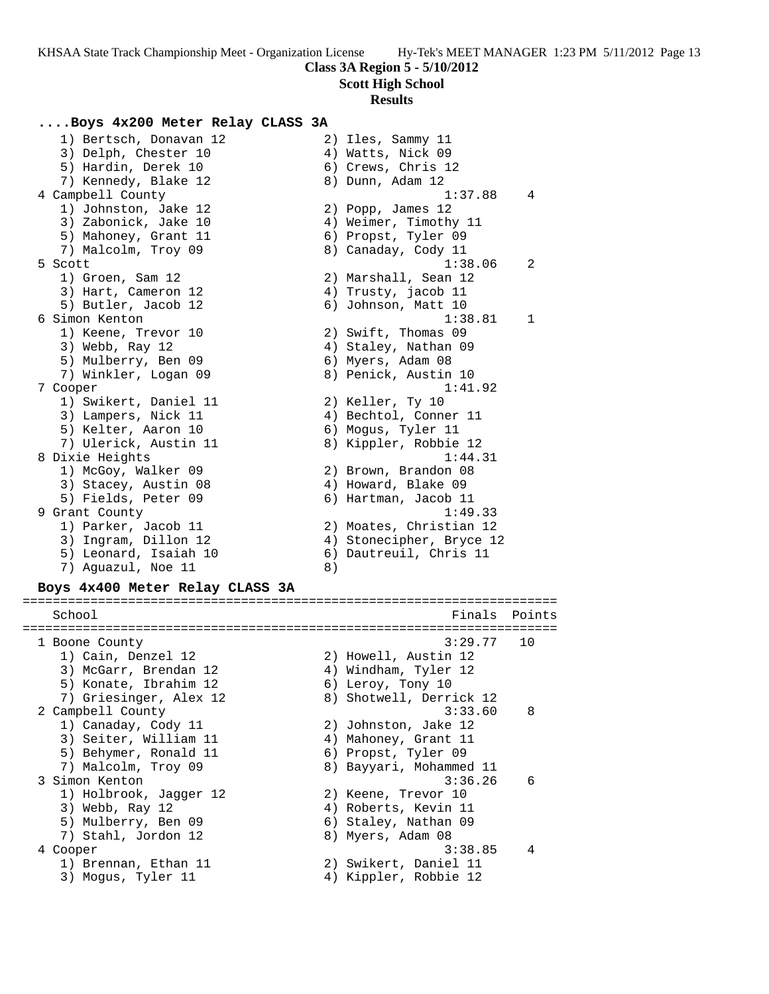**Scott High School**

### **Results**

#### **....Boys 4x200 Meter Relay CLASS 3A**

 1) Bertsch, Donavan 12 2) Iles, Sammy 11 3) Delph, Chester 10 4) Watts, Nick 09 5) Hardin, Derek 10 (6) Crews, Chris 12 7) Kennedy, Blake 12 (8) 8 Dunn, Adam 12 4 Campbell County 1:37.88 4 1) Johnston, Jake 12 2) Popp, James 12 3) Zabonick, Jake 10 4) Weimer, Timothy 11 5) Mahoney, Grant 11 (6) Propst, Tyler 09 7) Malcolm, Troy 09 8) Canaday, Cody 11 5 Scott 1:38.06 2 1) Groen, Sam 12 2) Marshall, Sean 12 3) Hart, Cameron 12 (4) Trusty, jacob 11 5) Butler, Jacob 12 (6) Johnson, Matt 10 6 Simon Kenton 1:38.81 1 1) Keene, Trevor 10 2) Swift, Thomas 09 3) Webb, Ray 12 **4**) Staley, Nathan 09 5) Mulberry, Ben 09 6) Myers, Adam 08 7) Winkler, Logan 09 8) Penick, Austin 10 7 Cooper 1:41.92 1) Swikert, Daniel 11 and 2) Keller, Ty 10 3) Lampers, Nick 11 4) Bechtol, Conner 11 5) Kelter, Aaron 10 6) Mogus, Tyler 11 7) Ulerick, Austin 11 8) Kippler, Robbie 12 8 Dixie Heights 1:44.31 1) McGoy, Walker 09 2) Brown, Brandon 08 3) Stacey, Austin 08 (4) Howard, Blake 09 5) Fields, Peter 09 (6) Hartman, Jacob 11 9 Grant County 1:49.33 1) Parker, Jacob 11 2) Moates, Christian 12 3) Ingram, Dillon 12 4) Stonecipher, Bryce 12 5) Leonard, Isaiah 10 6) Dautreuil, Chris 11 7) Aguazul, Noe 11 8)

#### **Boys 4x400 Meter Relay CLASS 3A**

======================================================================= School **Finals** Points ======================================================================= 1 Boone County 3:29.77 10 1) Cain, Denzel 12 2) Howell, Austin 12 3) McGarr, Brendan 12 4) Windham, Tyler 12 5) Konate, Ibrahim 12 (6) Leroy, Tony 10 7) Griesinger, Alex 12 8) Shotwell, Derrick 12 2 Campbell County 3:33.60 8 1) Canaday, Cody 11 2) Johnston, Jake 12 3) Seiter, William 11  $\hskip1cm$  4) Mahoney, Grant 11 5) Behymer, Ronald 11  $\qquad \qquad$  6) Propst, Tyler 09 7) Malcolm, Troy 09 8) Bayyari, Mohammed 11 3 Simon Kenton 3:36.26 6 1) Holbrook, Jagger 12 2) Keene, Trevor 10 3) Webb, Ray 12 4) Roberts, Kevin 11 5) Mulberry, Ben 09 6) Staley, Nathan 09 7) Stahl, Jordon 12 8) Myers, Adam 08 4 Cooper 3:38.85 4 1) Brennan, Ethan 11 2) Swikert, Daniel 11 3) Mogus, Tyler 11 4) Kippler, Robbie 12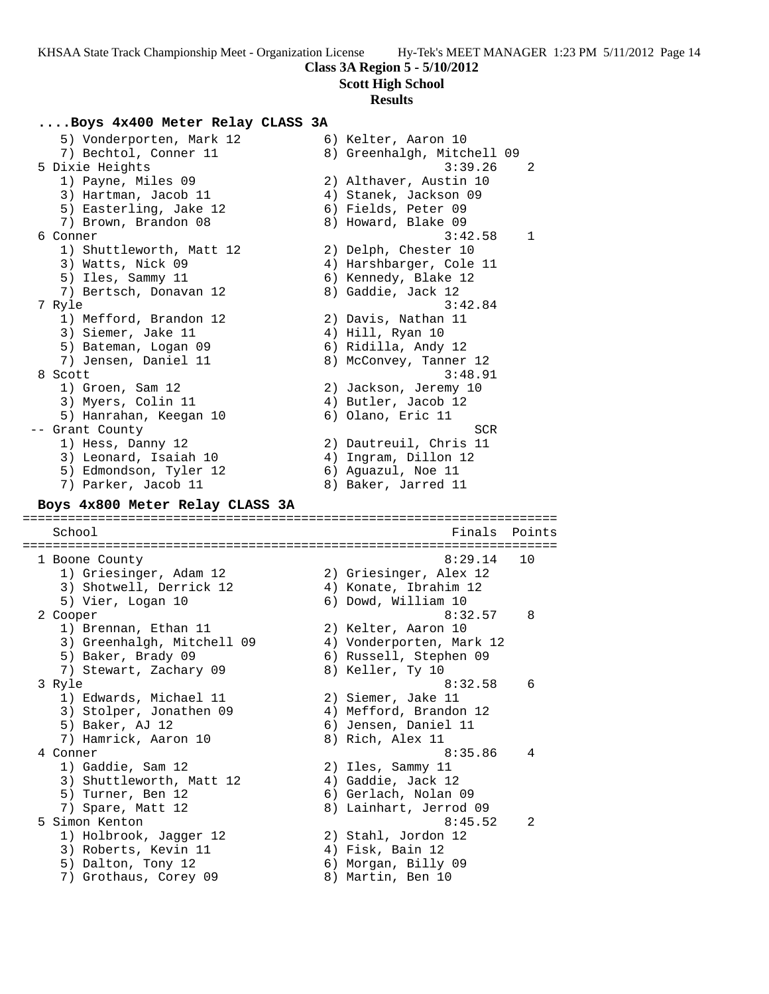### **Scott High School**

#### **Results**

### **....Boys 4x400 Meter Relay CLASS 3A**

5) Vonderporten, Mark 12 (6) Kelter, Aaron 10 7) Bechtol, Conner 11 8) Greenhalgh, Mitchell 09 5 Dixie Heights 3:39.26 2 1) Payne, Miles 09 2) Althaver, Austin 10 3) Hartman, Jacob 11 4) Stanek, Jackson 09 5) Easterling, Jake 12 (6) Fields, Peter 09 7) Brown, Brandon 08 8) Howard, Blake 09 6 Conner 3:42.58 1 1) Shuttleworth, Matt 12  $\qquad \qquad$  2) Delph, Chester 10 3) Watts, Nick 09 4) Harshbarger, Cole 11 5) Iles, Sammy 11 6) Kennedy, Blake 12 7) Bertsch, Donavan 12 and 8) Gaddie, Jack 12 7 Ryle 3:42.84 1) Mefford, Brandon 12 2) Davis, Nathan 11 3) Siemer, Jake 11 (4) Hill, Ryan 10 5) Bateman, Logan 09 6) Ridilla, Andy 12 7) Jensen, Daniel 11 8) McConvey, Tanner 12 8 Scott 3:48.91 1) Groen, Sam 12 2) Jackson, Jeremy 10 3) Myers, Colin 11 (4) Butler, Jacob 12 5) Hanrahan, Keegan 10 6) Olano, Eric 11 -- Grant County SCR 1) Hess, Danny 12 2) Dautreuil, Chris 11 3) Leonard, Isaiah 10  $\hskip1cm \hskip1cm 4$ ) Ingram, Dillon 12 5) Edmondson, Tyler 12 and 6) Aguazul, Noe 11 7) Parker, Jacob 11 and 8) Baker, Jarred 11 **Boys 4x800 Meter Relay CLASS 3A** ======================================================================= School **Finals Points** ======================================================================= 1 Boone County 8:29.14 10 1) Griesinger, Adam 12 2) Griesinger, Alex 12 3) Shotwell, Derrick 12 4) Konate, Ibrahim 12 5) Vier, Logan 10 6) Dowd, William 10 2 Cooper 8:32.57 8 1) Brennan, Ethan 11 2) Kelter, Aaron 10 3) Greenhalgh, Mitchell 09 4) Vonderporten, Mark 12 5) Baker, Brady 09 6) Russell, Stephen 09 7) Stewart, Zachary 09 8) Keller, Ty 10 3 Ryle 8:32.58 6 1) Edwards, Michael 11 and 2) Siemer, Jake 11 3) Stolper, Jonathen 09 4) Mefford, Brandon 12 5) Baker, AJ 12 6) Jensen, Daniel 11 7) Hamrick, Aaron 10  $\qquad \qquad 8)$  Rich, Alex 11 4 Conner 8:35.86 4 1) Gaddie, Sam 12 2) Iles, Sammy 11 3) Shuttleworth, Matt 12  $\qquad \qquad$  4) Gaddie, Jack 12 5) Turner, Ben 12 (6) Gerlach, Nolan 09 7) Spare, Matt 12 8) Lainhart, Jerrod 09 5 Simon Kenton 8:45.52 2 1) Holbrook, Jagger 12 2) Stahl, Jordon 12 3) Roberts, Kevin 11 (4) Fisk, Bain 12 5) Dalton, Tony 12 6) Morgan, Billy 09 7) Grothaus, Corey 09 68) Martin, Ben 10